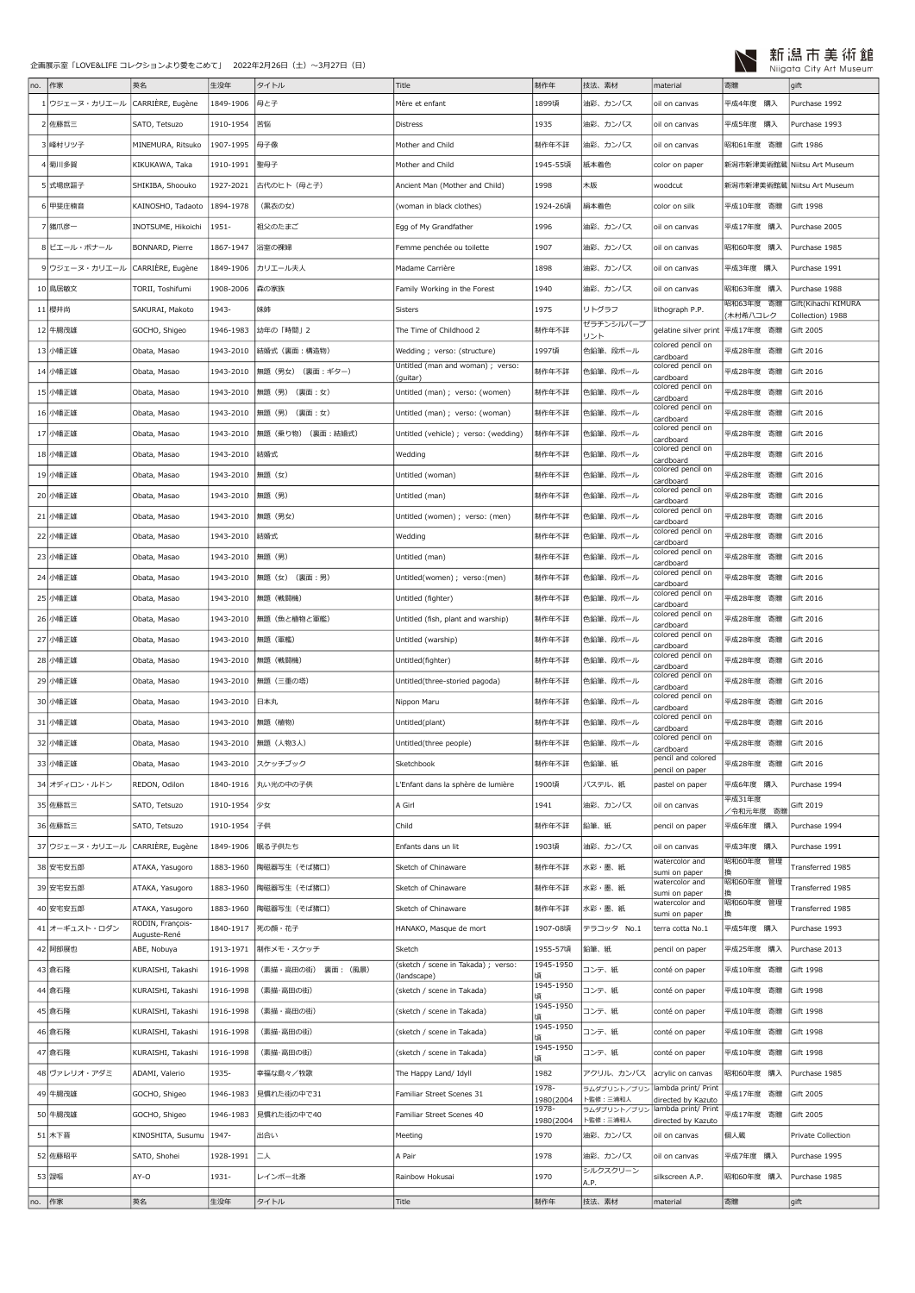

| no.    | 作家             | 英名                          | 生没年       | タイトル               | Title                                         | 制作年                | 技法、素材                                        | material                                  | 寄贈                          | gift                                 |
|--------|----------------|-----------------------------|-----------|--------------------|-----------------------------------------------|--------------------|----------------------------------------------|-------------------------------------------|-----------------------------|--------------------------------------|
|        | 1クジェーヌ・カリエール   | CARRIÈRE, Eugène            | 1849-1906 | 母と子                | Mère et enfant                                | 1899頃              | 油彩、カンバス                                      | oil on canvas                             | 平成4年度<br>購入                 | Purchase 1992                        |
|        | 2 佐藤哲三         | SATO, Tetsuzo               | 1910-1954 | 苦悩                 | <b>Distress</b>                               | 1935               | 油彩、カンバス                                      | oil on canvas                             | 平成5年度<br>購入                 | Purchase 1993                        |
|        | 3 峰村リツ子        | MINEMURA, Ritsuko           | 1907-1995 | 母子像                | Mother and Child                              | 制作年不詳              | 油彩、カンバス                                      | oil on canvas                             | 昭和61年度 寄贈                   | Gift 1986                            |
|        | 4 菊川多賀         | KIKUKAWA, Taka              | 1910-1991 | 聖母子                | Mother and Child                              | 1945-55頃           | 紙本着色                                         | color on paper                            |                             | 新潟市新津美術館蔵   Niitsu Art Museum        |
|        | 5 式場庶謳子        | SHIKIBA, Shoouko            | 1927-2021 | 古代のヒト(母と子)         | Ancient Man (Mother and Child)                | 1998               | 木版                                           | woodcut                                   | 新潟市新津美術館蔵 Niitsu Art Museum |                                      |
|        | 甲斐庄楠音          | KAINOSHO, Tadaoto           | 1894-1978 | (黒衣の女)             | (woman in black clothes)                      | 1924-26頃           | 絹本着色                                         | color on silk                             | 平成10年度 寄贈                   | Gift 1998                            |
|        | 7 猪爪彦一         | INOTSUME, Hikoichi          | 1951-     | 祖父のたまご             |                                               | 1996               | 油彩、カンバス                                      |                                           | 平成17年度 購入                   | Purchase 2005                        |
|        |                |                             |           |                    | Egg of My Grandfather                         |                    |                                              | oil on canvas                             |                             |                                      |
|        | 8 ピエール・ボナール    | BONNARD, Pierre             | 1867-1947 | 浴室の裸婦              | Femme penchée ou toilette                     | 1907               | 油彩、カンバス                                      | oil on canvas                             | 昭和60年度 購入                   | Purchase 1985                        |
|        | 9 ウジェーヌ・カリエール  | CARRIÈRE, Eugène            | 1849-1906 | カリエール夫人            | Madame Carrière                               | 1898               | 油彩、カンバス                                      | oil on canvas                             | 平成3年度 購入                    | Purchase 1991                        |
|        | 10 鳥居敏文        | TORII, Toshifumi            | 1908-2006 | 森の家族               | Family Working in the Forest                  | 1940               | 油彩、カンバス                                      | oil on canvas                             | 昭和63年度 購入<br>昭和63年度 寄贈      | Purchase 1988<br>Gift(Kihachi KIMURA |
|        | 11 櫻井尚         | SAKURAI, Makoto             | 1943-     | 妹姉                 | Sisters                                       | 1975               | リトグラフ                                        | lithograph P.P.                           | 木村希八コレク                     | Collection) 1988                     |
|        | 12 牛腸茂雄        | GOCHO, Shigeo               | 1946-1983 | 幼年の「時間」2           | The Time of Childhood 2                       | 制作年不詳              | ゼラチンシルバーブ<br>リント                             | gelatine silver print                     | 平成17年度 寄贈                   | Gift 2005                            |
|        | 13 小幡正雄        | Obata, Masao                | 1943-2010 | 結婚式 (裏面:構造物)       | Wedding; verso: (structure)                   | 1997頃              | 色鉛筆、段ボール                                     | colored pencil on<br>cardboard            | 平成28年度 寄贈                   | Gift 2016                            |
|        | 14 小幡正雄        | Obata, Masao                | 1943-2010 | (裏面:ギター)<br>無題(男女) | Untitled (man and woman) ; verso:<br>(guitar) | 制作年不詳              | 色鉛筆、段ボール                                     | colored pencil on<br>cardboard            | 平成28年度 寄贈                   | Gift 2016                            |
|        | 15 小幡正雄        | Obata, Masao                | 1943-2010 | 無題(男)(裏面:女)        | Untitled (man) ; verso: (women)               | 制作年不詳              | 色鉛筆、段ボール                                     | colored pencil on<br>cardboard            | 平成28年度 寄贈                   | Gift 2016                            |
| 16     | 小幡正雄           | Obata, Masao                | 1943-2010 | 無題 (男) (裏面:女)      | Untitled (man) ; verso: (woman)               | 制作年不詳              | 色鉛筆、段ボール                                     | colored pencil on<br>cardboard            | 平成28年度 寄贈                   | Gift 2016                            |
|        | 17 小幡正雄        | Obata, Masao                | 1943-2010 | 無題(乗り物)(裏面:結婚式)    | Untitled (vehicle) ; verso: (wedding)         | 制作年不詳              | 色鉛筆、段ボール                                     | colored pencil on<br>cardboard            | 平成28年度 寄贈                   | Gift 2016                            |
|        | 18 小幡正雄        | Obata, Masao                | 1943-2010 | 結婚式                | Wedding                                       | 制作年不詳              | 色鉛筆、段ボール                                     | colored pencil on<br>cardboard            | 平成28年度 寄贈                   | Gift 2016                            |
|        | 19 小幡正雄        | Obata, Masao                | 1943-2010 | 無題 (女)             | Untitled (woman)                              | 制作年不詳              | 色鉛筆、段ボール                                     | colored pencil on                         | 平成28年度 寄贈                   | Gift 2016                            |
|        | 20 小幡正雄        | Obata, Masao                | 1943-2010 | 無題(男)              | Untitled (man)                                | 制作年不詳              | 色鉛筆、段ボール                                     | cardboard<br>colored pencil on            | 平成28年度 寄贈                   | Gift 2016                            |
|        | 21 小幡正雄        | Obata, Masao                | 1943-2010 | 無題(男女)             | Untitled (women) ; verso: (men)               | 制作年不詳              | 色鉛筆、段ボール                                     | cardboard<br>colored pencil on            | 平成28年度 寄贈                   | Gift 2016                            |
|        | 22 小幡正雄        | Obata, Masao                | 1943-2010 | 結婚式                | Wedding                                       | 制作年不詳              | 色鉛筆、段ボール                                     | cardboard<br>colored pencil on            | 平成28年度 寄贈                   | Gift 2016                            |
|        | 23 小幡正雄        | Obata, Masao                | 1943-2010 | 無題(男)              | Untitled (man)                                | 制作年不詳              | 色鉛筆、段ボール                                     | cardboard<br>colored pencil on            | 平成28年度 寄贈                   | Gift 2016                            |
|        | 24 小幡正雄        | Obata, Masao                | 1943-2010 | 無題(女)(裏面:男)        | Untitled(women) ; verso:(men)                 | 制作年不詳              | 色鉛筆、段ボール                                     | cardboard<br>colored pencil on            | 平成28年度 寄贈                   | Gift 2016                            |
|        |                |                             |           |                    |                                               |                    |                                              | cardboard<br>colored pencil on            |                             |                                      |
|        | 25 小幡正雄        | Obata, Masao                | 1943-2010 | 無題(戦闘機)            | Untitled (fighter)                            | 制作年不詳              | 色鉛筆、段ボール                                     | cardboard<br>colored pencil on            | 平成28年度 寄贈                   | Gift 2016                            |
|        | 26 小幡正雄        | Obata, Masao                | 1943-2010 | 無題(魚と植物と軍艦)        | Untitled (fish, plant and warship)            | 制作年不詳              | 色鉛筆、段ボール                                     | cardboard<br>colored pencil on            | 平成28年度 寄贈                   | Gift 2016                            |
| 27     | 小幡正雄           | Obata, Masao                | 1943-2010 | 無題(軍艦)             | Untitled (warship)                            | 制作年不詳              | 色鉛筆、段ボール                                     | cardboard<br>colored pencil on            | 平成28年度 寄贈                   | Gift 2016                            |
|        | 28 小幡正雄        | Obata, Masao                | 1943-2010 | 無題(戦闘機)            | Untitled(fighter)                             | 制作年不詳              | 色鉛筆、段ボール                                     | cardboard<br>colored pencil on            | 平成28年度 寄贈                   | Gift 2016                            |
|        | 29 小幡正雄        | Obata, Masao                | 1943-2010 | 無題 (三重の塔)          | Untitled(three-storied pagoda)                | 制作年不詳              | 色鉛筆、段ボール                                     | cardboard                                 | 平成28年度 寄贈                   | Gift 2016                            |
|        | 30 小幡正雄        | Obata, Masao                | 1943-2010 | 日本丸                | Nippon Maru                                   | 制作年不詳              | 色鉛筆、段ボール                                     | colored pencil on<br>cardboard            | 平成28年度 寄贈                   | Gift 2016                            |
| 31     | 小幡正雄           | Obata, Masao                | 1943-2010 | 無題(植物)             | Untitled(plant)                               | 制作年不詳              | 色鉛筆、段ボール                                     | colored pencil on<br>cardboard            | 平成28年度 寄贈                   | Gift 2016                            |
|        | 32 小幡正雄        | Obata, Masao                | 1943-2010 | 無題 (人物3人)          | Untitled(three people)                        | 制作年不詳              | 色鉛筆、段ボール                                     | colored pencil on<br>cardboard            | 平成28年度 寄贈                   | Gift 2016                            |
| 33     | 小幡正雄           | Obata, Masao                | 1943-2010 | スケッチブック            | Sketchbook                                    | 制作年不詳              | 色鉛筆、紙                                        | pencil and colored<br>pencil on paper     | 平成28年度 寄贈                   | Gift 2016                            |
|        | 34 オディロン・ルドン   | REDON, Odilon               | 1840-1916 | 丸い光の中の子供           | L'Enfant dans la sphère de lumière            | 1900頃              | パステル、紙                                       | pastel on paper                           | 平成6年度 購入                    | Purchase 1994                        |
|        | 35 佐藤哲三        | SATO, Tetsuzo               | 1910-1954 | 少女                 | A Girl                                        | 1941               | 油彩、カンバス                                      | oil on canvas                             | 平成31年度<br>/令和元年度 寄贈         | Gift 2019                            |
|        | 36 佐藤哲三        | SATO, Tetsuzo               | 1910-1954 | 子供                 | Child                                         | 制作年不詳              | 鉛筆、紙                                         | pencil on paper                           | 平成6年度 購入                    | Purchase 1994                        |
|        | 37 ウジェーヌ・カリエール | CARRIÈRE, Eugène            | 1849-1906 | 眠る子供たち             | Enfants dans un lit                           | 1903頃              | 油彩、カンバス                                      | oil on canvas                             | 平成3年度 購入                    | Purchase 1991                        |
|        | 38 安宅安五郎       | ATAKA, Yasugoro             | 1883-1960 | 陶磁器写生 (そば猪口)       | Sketch of Chinaware                           | 制作年不詳              | 水彩・墨、紙                                       | watercolor and<br>sumi on paper           | 昭和60年度 管理                   | Transferred 1985                     |
|        | 39 安宅安五郎       | ATAKA, Yasugoro             | 1883-1960 | 陶磁器写生(そば猪口)        | Sketch of Chinaware                           | 制作年不詳              | 水彩・墨、紙                                       | watercolor and<br>sumi on paper           | 昭和60年度 管理                   | Transferred 1985                     |
|        | 40 安宅安五郎       | ATAKA, Yasugoro             | 1883-1960 | 陶磁器写生 (そば猪口)       | Sketch of Chinaware                           | 制作年不詳              | 水彩・墨、紙                                       | watercolor and<br>sumi on paper           | 昭和60年度 管理                   | Transferred 1985                     |
|        | 41 オーギュスト・ロダン  | RODIN, François-            | 1840-1917 | 死の顔・花子             | HANAKO, Masque de mort                        | 1907-08頃           | テラコッタ No.1                                   | terra cotta No.1                          | 平成5年度 購入                    | Purchase 1993                        |
|        | 42 阿部展也        | Auguste-René<br>ABE, Nobuya | 1913-1971 | 制作メモ・スケッチ          | Sketch                                        | 1955-57頃           | 鉛筆、紙                                         | pencil on paper                           | 平成25年度 購入                   | Purchase 2013                        |
|        | 43 倉石隆         | KURAISHI, Takashi           | 1916-1998 | (素描・高田の街) 裏面: (風景) | (sketch / scene in Takada) ; verso:           | 1945-1950          | コンテ、紙                                        | conté on paper                            | 平成10年度 寄贈                   | Gift 1998                            |
|        | 44 倉石隆         | KURAISHI, Takashi           | 1916-1998 | (素描・高田の街)          | (landscape)<br>(sketch / scene in Takada)     | 頃<br>1945-1950     | コンテ、紙                                        | conté on paper                            | 平成10年度 寄贈                   | Gift 1998                            |
|        | 45 倉石隆         | KURAISHI, Takashi           | 1916-1998 | (素描・高田の街)          | (sketch / scene in Takada)                    | Itā<br>1945-1950   | コンテ、紙                                        | conté on paper                            | 平成10年度 寄贈                   | Gift 1998                            |
|        |                |                             |           |                    |                                               | 植<br>1945-1950     |                                              |                                           |                             |                                      |
|        | 46 倉石隆         | KURAISHI, Takashi           | 1916-1998 | (素描・高田の街)          | (sketch / scene in Takada)                    | 頃<br>1945-1950     | コンテ、紙                                        | conté on paper                            | 平成10年度 寄贈                   | Gift 1998                            |
|        | 47 倉石隆         | KURAISHI, Takashi           | 1916-1998 | (素描・高田の街)          | (sketch / scene in Takada)                    | 頃                  | コンテ、紙                                        | conté on paper                            | 平成10年度 寄贈                   | Gift 1998                            |
|        | 48 ヴァレリオ・アダミ   | ADAMI, Valerio              | 1935-     | 幸福な島々/牧歌           | The Happy Land/ Idyll                         | 1982<br>1978-      | アクリル、カンバス<br>ラムダブリント/ブリン lambda print/ Print | acrylic on canvas                         | 昭和60年度 購入                   | Purchase 1985                        |
|        | 49 牛腸茂雄        | GOCHO, Shigeo               | 1946-1983 | 見慣れた街の中で31         | Familiar Street Scenes 31                     | 1980(2004<br>1978- | ト監修:三浦和人<br>ラムダブリント/ブリン                      | directed by Kazuto<br>lambda print/ Print | 平成17年度 寄贈                   | Gift 2005                            |
|        | 50 牛腸茂雄        | GOCHO, Shigeo               | 1946-1983 | 見慣れた街の中で40         | Familiar Street Scenes 40                     | 1980(2004          | ト監修:三浦和人                                     | directed by Kazuto                        | 平成17年度 寄贈                   | Gift 2005                            |
|        | 51 木下晋         | KINOSHITA, Susumu           | 1947-     | 出合い                | Meeting                                       | 1970               | 油彩、カンバス                                      | oil on canvas                             | 個人蔵                         | Private Collection                   |
|        | 52 佐藤昭平        | SATO, Shohei                | 1928-1991 | 二人                 | A Pair                                        | 1978               | 油彩、カンバス                                      | oil on canvas                             | 平成7年度 購入                    | Purchase 1995                        |
|        | 53 靉嘔          | AY-O                        | 1931-     | レインボー北斎            | Rainbow Hokusai                               | 1970               | シルクスクリーン<br>A.P.                             | silkscreen A.P.                           | 昭和60年度 購入                   | Purchase 1985                        |
| no. 作家 |                | 英名                          | 生没年       | タイトル               | Title                                         | 制作年                | 技法、素材                                        | material                                  | 寄贈                          | gift                                 |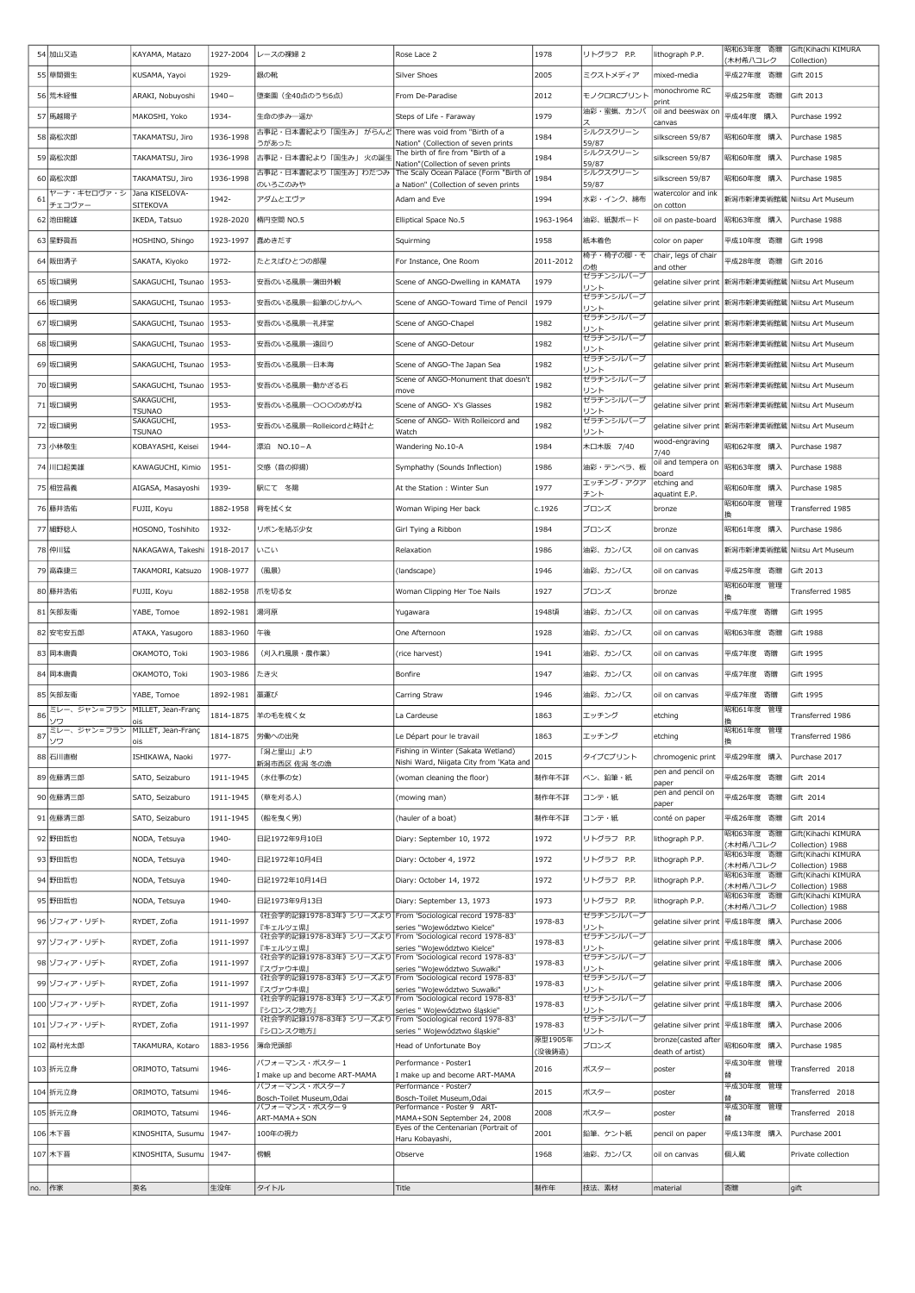|    | 54 加山又造                              | KAYAMA, Matazo                                                                                                                                                                                                                                                           | 1927-2004 | レースの裸婦 2                                                               | Rose Lace 2                                                                  | 1978               | リトグラフ P.P.             | lithograph P.P.                                       | 昭和63年度 寄贈<br>木村希八コレク          | Gift(Kihachi KIMURA<br>Collection)      |
|----|--------------------------------------|--------------------------------------------------------------------------------------------------------------------------------------------------------------------------------------------------------------------------------------------------------------------------|-----------|------------------------------------------------------------------------|------------------------------------------------------------------------------|--------------------|------------------------|-------------------------------------------------------|-------------------------------|-----------------------------------------|
|    | 55 草間彌生                              | KUSAMA, Yayoi                                                                                                                                                                                                                                                            | 1929-     | 銀の靴                                                                    | Silver Shoes                                                                 | 2005               | ミクストメディア               | mixed-media                                           | 平成27年度 寄贈                     | Gift 2015                               |
|    | 56 荒木経惟                              | ARAKI, Nobuyoshi                                                                                                                                                                                                                                                         | $1940 -$  | 堕楽園 (全40点のうち6点)                                                        | From De-Paradise                                                             | 2012               | モノクロRCプリント             | monochrome RC<br>print                                | 平成25年度 寄贈                     | Gift 2013                               |
|    | 57 馬越陽子                              | MAKOSHI, Yoko                                                                                                                                                                                                                                                            | 1934-     | 生命の歩み一遥か                                                               | Steps of Life - Faraway                                                      | 1979               | 油彩・蜜蝋、カンバ              | oil and beeswax or<br>canvas                          | 平成4年度 購入                      | Purchase 1992                           |
|    | 58 高松次郎                              | TAKAMATSU, Jiro                                                                                                                                                                                                                                                          | 1936-1998 | 古事記・日本書紀より「国生み」 がらんど There was void from "Birth of a                   |                                                                              | 1984               | シルクスクリーン               | silkscreen 59/87                                      | 昭和60年度 購入                     | Purchase 1985                           |
|    | 59 高松次郎                              | TAKAMATSU, Jiro                                                                                                                                                                                                                                                          | 1936-1998 | うがあった<br>古事記・日本書紀より「国生み」 火の誕生                                          | Nation" (Collection of seven prints<br>The birth of fire from "Birth of a    | 1984               | 59/87<br>シルクスクリーン      | silkscreen 59/87                                      | 昭和60年度 購入                     | Purchase 1985                           |
|    | 60 高松次郎                              | TAKAMATSU, Jiro                                                                                                                                                                                                                                                          | 1936-1998 | 古事記・日本書紀より「国生み」わだつみ                                                    | Nation"(Collection of seven prints<br>The Scaly Ocean Palace (Form "Birth of | 1984               | 59/87<br>シルクスクリーン      | silkscreen 59/87                                      | 昭和60年度 購入                     | Purchase 1985                           |
|    | ヤーナ・キセロヴァ・シ                          | Jana KISELOVA-                                                                                                                                                                                                                                                           | 1942-     | のいろこのみや<br>アダムとエヴァ                                                     | a Nation" (Collection of seven prints                                        |                    | 59/87<br>水彩・インク、綿布     | watercolor and ink                                    |                               |                                         |
| 6  | チェコヴァー                               | SITEKOVA                                                                                                                                                                                                                                                                 |           |                                                                        | Adam and Eve                                                                 | 1994               |                        | on cotton                                             | 新潟市新津美術館蔵                     | Niitsu Art Museum                       |
|    | 62 池田龍雄                              | IKEDA, Tatsuo                                                                                                                                                                                                                                                            | 1928-2020 | 楕円空間 NO.5                                                              | Elliptical Space No.5                                                        | 1963-1964          | 油彩、紙製ボード               | oil on paste-board                                    | 昭和63年度 購入                     | Purchase 1988                           |
|    | 63 星野眞吾                              | HOSHINO, Shingo                                                                                                                                                                                                                                                          | 1923-1997 | 蠢めきだす                                                                  | Squirming                                                                    | 1958               | 紙本着色<br>椅子・椅子の脚・そ      | color on paper                                        | 平成10年度 寄贈                     | Gift 1998                               |
|    | 64 阪田清子                              | SAKATA, Kiyoko                                                                                                                                                                                                                                                           | 1972-     | たとえばひとつの部屋                                                             | For Instance, One Room                                                       | 2011-2012          | の他                     | chair, legs of chair <br>and other                    | 平成28年度 寄贈                     | Gift 2016                               |
|    | 65 坂口綱男                              | SAKAGUCHI, Tsunao                                                                                                                                                                                                                                                        | 1953-     | 安吾のいる風景一蒲田外観                                                           | Scene of ANGO-Dwelling in KAMATA                                             | 1979               | ゼラチンシルバーブ<br>リント       | qelatine silver print   新潟市新津美術館蔵   Niitsu Art Museum |                               |                                         |
|    | 66 坂口綱男                              | SAKAGUCHI, Tsunao                                                                                                                                                                                                                                                        | 1953-     | 安吾のいる風景―鉛筆のじかんへ                                                        | Scene of ANGO-Toward Time of Pencil                                          | 1979               | ゼラチンシルバーブ<br>リント       | gelatine silver print                                 | 新潟市新津美術館蔵                     | Niitsu Art Museum                       |
|    | 67 坂口綱男                              | SAKAGUCHI, Tsunao                                                                                                                                                                                                                                                        | 1953-     | 安吾のいる風景一礼拝堂                                                            | Scene of ANGO-Chapel                                                         | 1982               | ゼラチンシルバーフ<br>リント       | gelatine silver print                                 | 新潟市新津美術館蔵   Niitsu Art Museum |                                         |
|    | 68 坂口綱男                              | SAKAGUCHI, Tsunao                                                                                                                                                                                                                                                        | 1953-     | 安吾のいる風景一遠回り                                                            | Scene of ANGO-Detour                                                         | 1982               | ゼラチンシルバーブ<br>リント       | gelatine silver print                                 | 新潟市新津美術館蔵                     | Niitsu Art Museum                       |
|    | 69 坂口綱男                              | SAKAGUCHI, Tsunao                                                                                                                                                                                                                                                        | 1953-     | 安吾のいる風景一日本海                                                            | Scene of ANGO-The Japan Sea                                                  | 1982               | ゼラチンシルバーブ<br>リント       | gelatine silver print                                 | 新潟市新津美術館蔵                     | Niitsu Art Museum                       |
|    | 70 坂口綱男                              | SAKAGUCHI, Tsunao                                                                                                                                                                                                                                                        | 1953-     | 安吾のいる風景一動かざる石                                                          | Scene of ANGO-Monument that doesn't                                          | 1982               | ゼラチンシルバーブ<br>リント       | gelatine silver print                                 | 新潟市新津美術館蔵                     | Niitsu Art Museum                       |
|    | 71 坂口綱男                              | SAKAGUCHI,                                                                                                                                                                                                                                                               | 1953-     | 安吾のいる風景一〇〇〇のめがね                                                        | move<br>Scene of ANGO- X's Glasses                                           | 1982               | ゼラチンシルバーブ              | gelatine silver print                                 | 新潟市新津美術館蔵                     | Niitsu Art Museum                       |
|    | 72 坂口綱男                              | <b>TSUNAO</b><br>SAKAGUCHI,                                                                                                                                                                                                                                              | 1953-     | 安吾のいる風景–Rolleicordと時計と                                                 | Scene of ANGO- With Rolleicord and                                           | 1982               | リント<br>ゼラチンシルバーブ       | gelatine silver print                                 | 新潟市新津美術館                      | Niitsu Art Museum                       |
|    | 73 小林敬生                              | TSUNAO<br>KOBAYASHI, Keisei                                                                                                                                                                                                                                              | 1944-     | 漂泊 NO.10-A                                                             | Watch<br>Wandering No.10-A                                                   | 1984               | リント<br>木口木版 7/40       | wood-engraving                                        | 昭和62年度 購入                     | Purchase 1987                           |
|    |                                      |                                                                                                                                                                                                                                                                          |           |                                                                        |                                                                              |                    |                        | 7/40<br>oil and tempera on                            |                               |                                         |
|    | 74 川口起美雄                             | KAWAGUCHI, Kimio                                                                                                                                                                                                                                                         | 1951-     | 交感(音の抑揚)                                                               | Symphathy (Sounds Inflection)                                                | 1986               | 油彩・テンペラ、板<br>エッチング・アクア | board<br>etching and                                  | 昭和63年度 購入                     | Purchase 1988                           |
|    | 75 相笠昌義                              | AIGASA, Masayoshi                                                                                                                                                                                                                                                        | 1939-     | 駅にて 冬陽                                                                 | At the Station : Winter Sun                                                  | 1977               | チント                    | aquatint E.P.                                         | 昭和60年度 購入<br>昭和60年度<br>管理     | Purchase 1985                           |
|    | 76 藤井浩佑                              | FUJII, Koyu                                                                                                                                                                                                                                                              | 1882-1958 | 背を拭く女                                                                  | Woman Wiping Her back                                                        | c.1926             | ブロンズ                   | bronze                                                |                               | Transferred 1985                        |
|    | 77 細野稔人                              | HOSONO, Toshihito                                                                                                                                                                                                                                                        | 1932-     | リボンを結ぶ少女                                                               | Girl Tying a Ribbon                                                          | 1984               | ブロンズ                   | bronze                                                | 昭和61年度 購入                     | Purchase 1986                           |
|    | 78 仲川猛                               | NAKAGAWA, Takeshi                                                                                                                                                                                                                                                        | 1918-2017 | いこい                                                                    | Relaxation                                                                   | 1986               | 油彩、カンバス                | oil on canvas                                         | 新潟市新津美術館蔵                     | Niitsu Art Museum                       |
|    | 79 高森捷三                              | TAKAMORI, Katsuzo                                                                                                                                                                                                                                                        | 1908-1977 | (風景)                                                                   | (landscape)                                                                  | 1946               | 油彩、カンバス                | oil on canvas                                         | 平成25年度 寄贈                     | Gift 2013                               |
|    | 80 藤井浩佑                              | FUJII, Koyu                                                                                                                                                                                                                                                              | 1882-1958 | 爪を切る女                                                                  | Woman Clipping Her Toe Nails                                                 | 1927               | ブロンズ                   | bronze                                                | 昭和60年度 管理                     | Transferred 1985                        |
|    | 81 矢部友衛                              | YABE, Tomoe                                                                                                                                                                                                                                                              | 1892-1981 | 湯河原                                                                    | Yugawara                                                                     | 1948頃              | 油彩、カンバス                | oil on canvas                                         | 平成7年度 寄贈                      | Gift 1995                               |
|    | 82 安宅安五郎                             | ATAKA, Yasugoro                                                                                                                                                                                                                                                          | 1883-1960 | 午後                                                                     | One Afternoon                                                                | 1928               | 油彩、カンバス                | oil on canvas                                         | 昭和63年度 寄贈                     | <b>Gift 1988</b>                        |
|    | 83 岡本唐貴                              | OKAMOTO, Toki                                                                                                                                                                                                                                                            | 1903-1986 | (刈入れ風景・農作業)                                                            | (rice harvest)                                                               | 1941               | 油彩、カンバス                | oil on canvas                                         | 平成7年度 寄贈                      | Gift 1995                               |
|    | 84 岡本唐貴                              | OKAMOTO, Toki                                                                                                                                                                                                                                                            | 1903-1986 | たき火                                                                    | Bonfire                                                                      | 1947               | 油彩、カンバス                | oil on canvas                                         | 平成7年度 寄贈                      | Gift 1995                               |
|    | 85 矢部友衛                              | YABE, Tomoe                                                                                                                                                                                                                                                              | 1892-1981 | 藁連び                                                                    | Carring Straw                                                                | 1946               | 油彩、カンバス                | oil on canvas                                         | 平成7年度 寄贈                      | Gift 1995                               |
| 86 | ミレー、ジャン=フラン                          | MILLET, Jean-Franç                                                                                                                                                                                                                                                       | 1814-1875 | 羊の毛を梳く女                                                                | La Cardeuse                                                                  | 1863               | エッチング                  | etching                                               | 昭和61年度 管理                     | Transferred 1986                        |
| 87 | ソワ<br>ミレー、ジャン=フラン MILLET, Jean-Franç |                                                                                                                                                                                                                                                                          |           | 1814-1875 労働への出発                                                       |                                                                              | 1863               | エッチング                  |                                                       | 昭和61年度 管理                     |                                         |
|    | ソワ                                   | ois                                                                                                                                                                                                                                                                      |           | 「潟と里山」より                                                               | Le Depart pour le travail<br>Fishing in Winter (Sakata Wetland)              |                    |                        | etching                                               | 換                             | Transferred 1986                        |
|    | 88 石川直樹                              | ISHIKAWA, Naoki                                                                                                                                                                                                                                                          | 1977-     | 新潟市西区 佐潟 冬の漁                                                           | Nishi Ward, Niigata City from 'Kata and                                      | 2015               | タイプCプリント               | chromogenic print<br>pen and pencil on                | 平成29年度 購入                     | Purchase 2017                           |
|    | 89 佐藤清三郎                             | SATO, Seizaburo                                                                                                                                                                                                                                                          | 1911-1945 | (水仕事の女)                                                                | (woman cleaning the floor)                                                   | 制作年不詳              | ペン、鉛筆・紙                | paper<br>pen and pencil on                            | 平成26年度 寄贈                     | Gift 2014                               |
|    | 90 佐藤清三郎                             | SATO, Seizaburo                                                                                                                                                                                                                                                          | 1911-1945 | (草を刈る人)                                                                | (mowing man)                                                                 | 制作年不詳              | コンテ・紙                  | paper                                                 | 平成26年度 寄贈                     | Gift 2014                               |
|    | 91 佐藤清三郎                             | SATO, Seizaburo                                                                                                                                                                                                                                                          | 1911-1945 | (船を曳く男)                                                                | (hauler of a boat)                                                           | 制作年不詳              | コンテ・紙                  | conté on paper                                        | 平成26年度 寄贈                     | Gift 2014                               |
|    | 92 野田哲也                              | NODA, Tetsuya                                                                                                                                                                                                                                                            | 1940-     | 日記1972年9月10日                                                           | Diary: September 10, 1972                                                    | 1972               | リトグラフ P.P.             | lithograph P.P.                                       | 昭和63年度 寄贈<br>木村希八コレク          | Gift(Kihachi KIMURA<br>Collection) 1988 |
|    | 93 野田哲也                              | NODA, Tetsuya                                                                                                                                                                                                                                                            | 1940-     | 日記1972年10月4日                                                           | Diary: October 4, 1972                                                       | 1972               | リトグラフ P.P.             | lithograph P.P.                                       | 昭和63年度 寄贈<br>木村希八コレク          | Gift(Kihachi KIMURA<br>Collection) 1988 |
|    | 94 野田哲也                              | NODA, Tetsuya                                                                                                                                                                                                                                                            | 1940-     | 日記1972年10月14日                                                          | Diary: October 14, 1972                                                      | 1972               | リトグラフ P.P.             | lithograph P.P.                                       | 昭和63年度 寄贈<br>木村希八コレク          | Gift(Kihachi KIMURA<br>Collection) 1988 |
|    | 95 野田哲也                              | NODA, Tetsuya                                                                                                                                                                                                                                                            | 1940-     | 日記1973年9月13日                                                           | Diary: September 13, 1973                                                    | 1973               | リトグラフ P.P.             | lithograph P.P.                                       | 昭和63年度 寄贈<br>木村希八コレク          | Gift(Kihachi KIMURA<br>Collection) 1988 |
|    | 96 ゾフィア・リデト                          | RYDET, Zofia                                                                                                                                                                                                                                                             | 1911-1997 | 《社会学的記録1978-83年》シリーズより From 'Sociological record 1978-83'<br>『キェルツェ県』  | series "Województwo Kielce"                                                  | 1978-83            | ゼラチンシルバーフ<br>リント       | gelatine silver print                                 | 平成18年度 購入                     | Purchase 2006                           |
|    | 97 ゾフィア・リデト                          | RYDET, Zofia                                                                                                                                                                                                                                                             | 1911-1997 | 《社会学的記録1978-83年》シリーズより From 'Sociological record 1978-83'              |                                                                              | 1978-83            | ゼラチンシルバーブ              | gelatine silver print                                 | 平成18年度 購入                     | Purchase 2006                           |
|    | 98 ゾフィア・リデト                          | RYDET, Zofia                                                                                                                                                                                                                                                             | 1911-1997 | 『キェルツェ県』<br>《社会学的記録1978-83年》シリーズより From 'Sociological record 1978-83'  | series "Województwo Kielce"                                                  | 1978-83            | リント<br>ゼラチンシルバーブ       | gelatine silver print                                 | 平成18年度 購入                     | Purchase 2006                           |
|    | 99 ゾフィア・リデト                          | RYDET, Zofia                                                                                                                                                                                                                                                             | 1911-1997 | 『スヴァウキ県』<br>《社会学的記録1978-83年》シリーズより From 'Sociological record 1978-83'  | series "Województwo Suwałki"                                                 | 1978-83            | リント<br>ゼラチンシルバーブ       | gelatine silver print                                 | 平成18年度 購入                     | Purchase 2006                           |
|    | 100 ゾフィア・リデト                         | RYDET, Zofia                                                                                                                                                                                                                                                             | 1911-1997 | 『スヴァウキ県』<br>《社会学的記録1978-83年》シリーズより From 'Sociological record 1978-83'  | series "Województwo Suwałki"                                                 | 1978-83            | リント<br>ゼラチンシルバーブ       | gelatine silver print                                 | 平成18年度 購入                     | Purchase 2006                           |
|    |                                      |                                                                                                                                                                                                                                                                          |           | 『シロンスク地方』<br>《社会学的記録1978-83年》シリーズより From 'Sociological record 1978-83' | series " Województwo śląskie"                                                |                    | リント<br>ゼラチンシルバーブ       |                                                       |                               |                                         |
|    | 101 ゾフィア・リデト                         | RYDET, Zofia                                                                                                                                                                                                                                                             | 1911-1997 | 『シロンスク地方』                                                              | series " Województwo śląskie"                                                | 1978-83<br>原型1905年 | リント                    | gelatine silver print<br>bronze(casted after          | 平成18年度 購入                     | Purchase 2006                           |
|    | 102 高村光太郎                            | TAKAMURA, Kotaro                                                                                                                                                                                                                                                         | 1883-1956 | 薄命児頭部                                                                  | Head of Unfortunate Boy                                                      | (没後鋳造)             | ブロンズ                   | death of artist)                                      | 昭和60年度 購入                     | Purchase 1985                           |
|    | 103 折元立身                             | ORIMOTO, Tatsumi                                                                                                                                                                                                                                                         | 1946-     | パフォーマンス・ポスター 1<br>I make up and become ART-MAMA                        | Performance · Poster1<br>I make up and become ART-MAMA                       | 2016               | ポスター                   | poster                                                | 平成30年度 管理<br>替                | Transferred 2018                        |
|    | 104 折元立身                             | ORIMOTO, Tatsumi                                                                                                                                                                                                                                                         | 1946-     | パフォーマンス・ポスター7<br>Bosch-Toilet Museum, Odai                             | Performance · Poster7<br>Bosch-Toilet Museum,Odai                            | 2015               | ポスター                   | poster                                                | 平成30年度 管理                     | Transferred 2018                        |
|    | 105 折元立身                             | ORIMOTO, Tatsumi                                                                                                                                                                                                                                                         | 1946-     | パフォーマンス・ポスター9                                                          | Performance · Poster 9 ART-                                                  | 2008               | ポスター                   | poster                                                | 平成30年度 管理                     | Transferred 2018                        |
|    | 106 木下晋                              | <inoshita, susumu="" td=""  1947-<=""><td></td><td>ART-MAMA + SON<br/>100年の視力</td><td>MAMA+SON September 24, 2008<br/>Eyes of the Centenarian (Portrait of</td><td>2001</td><td>鉛筆、ケント紙</td><td>pencil on paper</td><td>平成13年度 購入</td><td>Purchase 2001</td></inoshita,> |           | ART-MAMA + SON<br>100年の視力                                              | MAMA+SON September 24, 2008<br>Eyes of the Centenarian (Portrait of          | 2001               | 鉛筆、ケント紙                | pencil on paper                                       | 平成13年度 購入                     | Purchase 2001                           |
|    | 107 木下晋                              | KINOSHITA, Susumu 1947-                                                                                                                                                                                                                                                  |           | 傍観                                                                     | Haru Kobayashi,<br>Observe                                                   | 1968               | 油彩、カンバス                | oil on canvas                                         | 個人蔵                           | Private collection                      |
|    |                                      |                                                                                                                                                                                                                                                                          |           |                                                                        |                                                                              |                    |                        |                                                       |                               |                                         |
|    | no. 作家                               | 英名                                                                                                                                                                                                                                                                       | 生没年       | タイトル                                                                   | Title                                                                        | 制作年                | 技法、素材                  | material                                              | 寄贈                            | gift                                    |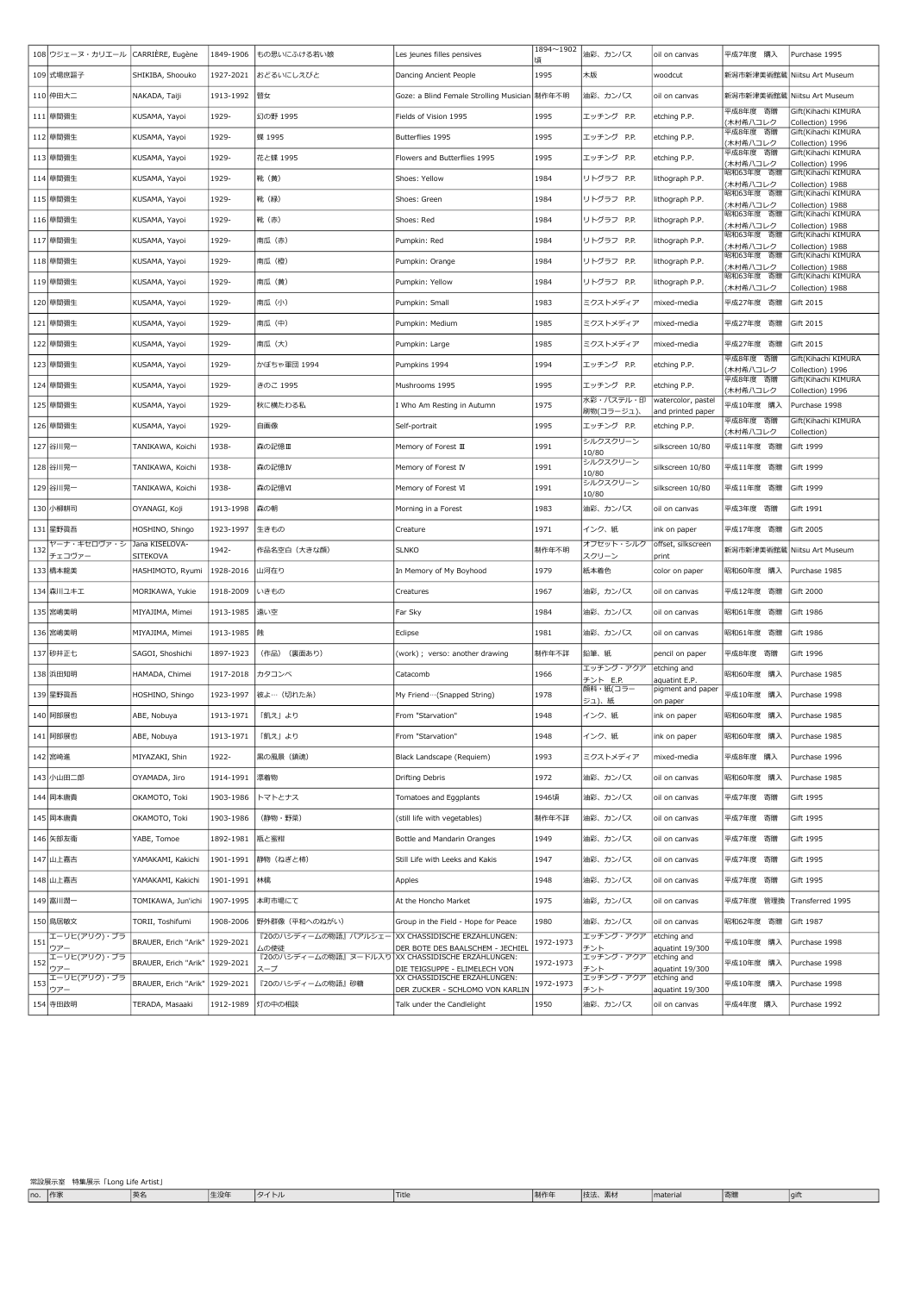|     | 108 ウジェーヌ・カリエール       | CARRIÈRE, Eugène                  | 1849-1906         | もの思いにふける若い娘                                               | Les jeunes filles pensives                                      | 1894~1902<br>頃 | 油彩、カンバス                | oil on canvas                           | 平成7年度 購入                    | Purchase 1995                           |
|-----|-----------------------|-----------------------------------|-------------------|-----------------------------------------------------------|-----------------------------------------------------------------|----------------|------------------------|-----------------------------------------|-----------------------------|-----------------------------------------|
|     | 109 式場庶謳子             | SHIKIBA, Shoouko                  | 1927-2021         | おどるいにしえびと                                                 | Dancing Ancient People                                          | 1995           | 木版                     | woodcut                                 | 新潟市新津美術館蔵                   | Niitsu Art Museum                       |
|     | 110 仲田大二              | NAKADA, Taiji                     | 1913-1992         | 瞽女                                                        | Goze: a Blind Female Strolling Musician  制作年不明                  |                | 油彩、カンバス                | oil on canvas                           | 新潟市新津美術館蔵 Niitsu Art Museum |                                         |
|     | 111 草間彌生              | KUSAMA, Yayoi                     | 1929-             | 幻の野 1995                                                  | Fields of Vision 1995                                           | 1995           | エッチング P.P.             | etching P.P.                            | 平成8年度 寄贈<br>木村希八コレク         | Gift(Kihachi KIMURA<br>Collection) 1996 |
|     | 112 草間彌生              | <b>KUSAMA, Yayoi</b>              | 1929-             | 蝶 1995                                                    | Butterflies 1995                                                | 1995           | エッチング P.P.             | etching P.P.                            | 平成8年度 寄贈<br>木村希八コレク         | Gift(Kihachi KIMURA<br>Collection) 1996 |
|     | 113 草間彌生              | KUSAMA, Yayoi                     | 1929-             | 花と蝶 1995                                                  | Flowers and Butterflies 1995                                    | 1995           | エッチング P.P.             | etching P.P.                            | 平成8年度 寄贈<br>木村希八コレク         | Gift(Kihachi KIMURA<br>Collection) 1996 |
|     | 114 草間彌生              | KUSAMA, Yayoi                     | 1929-             | 靴 (黄)                                                     | Shoes: Yellow                                                   | 1984           | リトグラフ P.P.             | lithograph P.P.                         | 昭和63年度 寄贈<br>木村希八コレク        | Gift(Kihachi KIMURA<br>Collection) 1988 |
|     | 115 草間彌生              | KUSAMA, Yayoi                     | 1929-             | 靴 (緑)                                                     | Shoes: Green                                                    | 1984           | リトグラフ P.P.             | lithograph P.P.                         | 昭和63年度 寄贈<br>木村希八コレク        | Gift(Kihachi KIMURA<br>Collection) 1988 |
|     | 116 草間彌生              | <b>KUSAMA, Yayoi</b>              | 1929-             | 靴 (赤)                                                     | Shoes: Red                                                      | 1984           | リトグラフ P.P.             | lithograph P.P.                         | 昭和63年度 寄贈<br>(木村希八コレク       | Gift(Kihachi KIMURA<br>Collection) 1988 |
|     | 117 草間彌生              | KUSAMA, Yayoi                     | 1929-             | 南瓜(赤)                                                     | Pumpkin: Red                                                    | 1984           | リトグラフ P.P.             | lithograph P.P.                         | 昭和63年度 寄贈<br>木村希八コレク        | Gift(Kihachi KIMURA<br>Collection) 1988 |
|     | 118 草間彌生              | KUSAMA, Yayoi                     | 1929-             | 南瓜(橙)                                                     | Pumpkin: Orange                                                 | 1984           | リトグラフ P.P.             | lithograph P.P.                         | 昭和63年度 寄贈<br>木村希八コレク        | Gift(Kihachi KIMURA<br>Collection) 1988 |
|     | 119 草間彌生              | KUSAMA, Yayoi                     | 1929-             | 南瓜 (黄)                                                    | Pumpkin: Yellow                                                 | 1984           | リトグラフ P.P.             | lithograph P.P.                         | 昭和63年度 寄贈<br>(木村希八コレク       | Gift(Kihachi KIMURA<br>Collection) 1988 |
|     | 120 草間彌生              | KUSAMA, Yayoi                     | 1929-             | 南瓜(小)                                                     | Pumpkin: Small                                                  | 1983           | ミクストメディア               | mixed-media                             | 平成27年度 寄贈                   | Gift 2015                               |
|     | 121 草間彌生              | KUSAMA, Yayoi                     | 1929-             | 南瓜 (中)                                                    | Pumpkin: Medium                                                 | 1985           | ミクストメディア               | mixed-media                             | 平成27年度 寄贈                   | Gift 2015                               |
|     | 122 草間彌生              | KUSAMA, Yayoi                     | 1929-             | 南瓜 (大)                                                    | Pumpkin: Large                                                  | 1985           | ミクストメディア               | mixed-media                             | 平成27年度 寄贈                   | Gift 2015                               |
|     | 123 草間彌生              | KUSAMA, Yayoi                     | 1929-             | かぼちゃ軍団 1994                                               | Pumpkins 1994                                                   | 1994           | エッチング P.P.             | etching P.P.                            | 平成8年度 寄贈<br>木村希八コレク         | Gift(Kihachi KIMURA<br>Collection) 1996 |
|     | 124 草間彌生              | KUSAMA, Yayoi                     | 1929-             | きのこ 1995                                                  | Mushrooms 1995                                                  | 1995           | エッチング P.P.             | etching P.P.                            | 平成8年度 寄贈<br>木村希八コレク         | Gift(Kihachi KIMURA<br>Collection) 1996 |
|     | 125 草間彌生              | <b>KUSAMA, Yayoi</b>              | 1929-             | 秋に横たわる私                                                   | I Who Am Resting in Autumn                                      | 1975           | 水彩・パステル・印<br>刷物(コラージュ) | watercolor, pastel<br>and printed paper | 平成10年度 購入                   | Purchase 1998                           |
|     | 126 草間彌生              | KUSAMA, Yayoi                     | 1929-             | 自画像                                                       | Self-portrait                                                   | 1995           | エッチング P.P.             | etching P.P.                            | 平成8年度 寄贈<br>(木村希八コレク        | Gift(Kihachi KIMURA<br>Collection)      |
|     | 127 谷川晃一              | TANIKAWA, Koichi                  | 1938-             | 森の記憶Ⅲ                                                     | Memory of Forest III                                            | 1991           | シルクスクリーン<br>10/80      | silkscreen 10/80                        | 平成11年度 寄贈                   | Gift 1999                               |
|     | 128 谷川晃一              | TANIKAWA, Koichi                  | 1938-             | 森の記憶IV                                                    | Memory of Forest IV                                             | 1991           | シルクスクリーン<br>10/80      | silkscreen 10/80                        | 平成11年度 寄贈                   | Gift 1999                               |
|     | 129 谷川晃一              | TANIKAWA, Koichi                  | 1938-             | 森の記憶VI                                                    | Memory of Forest VI                                             | 1991           | シルクスクリーン<br>10/80      | silkscreen 10/80                        | 平成11年度 寄贈                   | Gift 1999                               |
|     | 130 小柳耕司              | OYANAGI, Koji                     | 1913-1998         | 森の朝                                                       | Morning in a Forest                                             | 1983           | 油彩、カンバス                | oil on canvas                           | 平成3年度 寄贈                    | Gift 1991                               |
|     | 131 星野眞吾              | HOSHINO, Shingo                   | 1923-1997         | 生きもの                                                      | Creature                                                        | 1971           | インク、紙                  | ink on paper                            | 平成17年度 寄贈                   | Gift 2005                               |
| 132 | ヤーナ・キセロヴァ・シ<br>チェコヴァー | Jana KISELOVA-<br><b>SITEKOVA</b> | 1942-             | 作品名空白 (大きな顔)                                              | <b>SLNKO</b>                                                    | 制作年不明          | オフセット・シルク<br>スクリーン     | offset, silkscreen<br>print             | 新潟市新津美術館蔵 Niitsu Art Museum |                                         |
|     | 133 橋本龍美              | HASHIMOTO, Ryumi                  | 1928-2016         | 山河在り                                                      | In Memory of My Boyhood                                         | 1979           | 紙本着色                   | color on paper                          | 昭和60年度 購入                   | Purchase 1985                           |
|     | 134 森川ユキエ             | MORIKAWA, Yukie                   | 1918-2009         | いきもの                                                      | Creatures                                                       | 1967           | 油彩,カンバス                | oil on canvas                           | 平成12年度 寄贈                   | Gift 2000                               |
|     | 135 宮嶋美明              | MIYAJIMA, Mimei                   | 1913-1985         | 遠い空                                                       | Far Sky                                                         | 1984           | 油彩、カンバス                | oil on canvas                           | 昭和61年度 寄贈                   | Gift 1986                               |
|     | 136 宮嶋美明              | MIYAJIMA, Mimei                   | 1913-1985         | 蝕                                                         | Eclipse                                                         | 1981           | 油彩、カンバス                | oil on canvas                           | 昭和61年度 寄贈                   | Gift 1986                               |
|     | 137 砂井正七              | SAGOI, Shoshichi                  | 1897-1923         | (作品) (裏面あり)                                               | (work) ; verso: another drawing                                 | 制作年不詳          | 鉛筆、紙                   | pencil on paper                         | 平成8年度 寄贈                    | Gift 1996                               |
|     | 138 浜田知明              | HAMADA, Chimei                    | 1917-2018         | カタコンベ                                                     | Catacomb                                                        | 1966           | エッチング・アクア<br>チント E.P.  | etching and<br>aquatint E.P.            | 昭和60年度 購入                   | Purchase 1985                           |
|     | 139 星野眞吾              | HOSHINO, Shingo                   | 1923-1997         | 彼よ… (切れた糸)                                                | My Friend ··· (Snapped String)                                  | 1978           | 顔料・紙(コラー<br>ジュ)、紙      | pigment and paper<br>on paper           | 平成10年度 購入                   | Purchase 1998                           |
|     | 140 阿部展也              | ABE, Nobuya                       | 1913-1971         | 「飢え」より                                                    | From "Starvation"                                               | 1948           | インク、紙                  | ink on paper                            | 昭和60年度 購入                   | Purchase 1985                           |
|     | 141 阿部展也              | ABE, Nobuya                       | 1913-1971  「飢え」より |                                                           | From "Starvation"                                               | 1948           | インク、紙                  | ink on paper                            | 昭和60年度 購入                   | Purchase 1985                           |
|     | 142 宮崎進               | MIYAZAKI, Shin                    | 1922-             | 黒の風景 (鎮魂)                                                 | Black Landscape (Requiem)                                       | 1993           | ミクストメディア               | mixed-media                             | 平成8年度 購入                    | Purchase 1996                           |
|     | 143 小山田二郎             | OYAMADA, Jiro                     | 1914-1991         | 漂着物                                                       | Drifting Debris                                                 | 1972           | 油彩、カンバス                | oil on canvas                           | 昭和60年度 購入                   | Purchase 1985                           |
|     | 144 岡本唐貴              | OKAMOTO, Toki                     | 1903-1986         | トマトとナス                                                    | Tomatoes and Eqqplants                                          | 1946頃          | 油彩、カンバス                | oil on canvas                           | 平成7年度 寄贈                    | Gift 1995                               |
|     | 145 岡本唐貴              | OKAMOTO, Toki                     | 1903-1986         | (静物・野菜)                                                   | (still life with vegetables)                                    | 制作年不詳          | 油彩、カンバス                | oil on canvas                           | 平成7年度 寄贈                    | Gift 1995                               |
|     | 146 矢部友衛              | YABE, Tomoe                       | 1892-1981         | 瓶と蜜柑                                                      | Bottle and Mandarin Oranges                                     | 1949           | 油彩、カンバス                | oil on canvas                           | 平成7年度 寄贈                    | Gift 1995                               |
|     | 147 山上嘉吉              | YAMAKAMI, Kakichi                 | 1901-1991         | 静物 (ねぎと柿)                                                 | Still Life with Leeks and Kakis                                 | 1947           | 油彩、カンバス                | oil on canvas                           | 平成7年度 寄贈                    | Gift 1995                               |
|     | 148 山上嘉吉              | YAMAKAMI, Kakichi                 | 1901-1991         | 林檎                                                        | Apples                                                          | 1948           | 油彩、カンバス                | oil on canvas                           | 平成7年度 寄贈                    | Gift 1995                               |
|     | 149 富川潤一              | TOMIKAWA, Jun'ichi                | 1907-1995         | 本町市場にて                                                    | At the Honcho Market                                            | 1975           | 油彩,カンバス                | oil on canvas                           | 平成7年度 管理換                   | Transferred 1995                        |
|     | 150 鳥居敏文              | TORII, Toshifumi                  | 1908-2006         | 野外群像 (平和へのねがい)                                            | Group in the Field - Hope for Peace                             | 1980           | 油彩、カンバス                | oil on canvas                           | 昭和62年度 寄贈                   | Gift 1987                               |
| 151 | エーリヒ(アリク)・ブラ<br>ウアー   | BRAUER, Erich "Arik"   1929-2021  |                   | 『20のハシディームの物語』バアルシェー XX CHASSIDISCHE ERZÄHLUNGEN:<br>ムの使徒 | DER BOTE DES BAALSCHEM - JECHIEL                                | 1972-1973      | エッチング・アクア<br>チント       | etching and<br>aquatint 19/300          | 平成10年度 購入                   | Purchase 1998                           |
| 152 | エーリヒ(アリク)・ブラ<br>ウアー   | BRAUER, Erich "Arik"   1929-2021  |                   | 『20のハシディームの物語』ヌードル入り XX CHASSIDISCHE ERZÄHLUNGEN:<br>スープ  | DIE TEIGSUPPE - ELIMELECH VON                                   | 1972-1973      | エッチング・アクア<br>チント       | etching and<br>aquatint 19/300          | 平成10年度 購入                   | Purchase 1998                           |
| 153 | エーリヒ(アリク)・ブラ<br>ウアー   | BRAUER, Erich "Arik"   1929-2021  |                   | 『20のハシディームの物語』砂糖                                          | XX CHASSIDISCHE ERZÄHLUNGEN:<br>DER ZUCKER - SCHLOMO VON KARLIN | 1972-1973      | エッチング・アクア<br>チント       | etching and<br>aquatint 19/300          | 平成10年度 購入                   | Purchase 1998                           |
|     | 154 寺田政明              | TERADA, Masaaki                   | 1912-1989         | 灯の中の相談                                                    | Talk under the Candlelight                                      | 1950           | 油彩、カンバス                | oil on canvas                           | 平成4年度 購入                    | Purchase 1992                           |

|     | 特集展示「Long Life Artist」<br>常設展示室 |    |     |      |                    |     |                       |                                            |    |                      |  |
|-----|---------------------------------|----|-----|------|--------------------|-----|-----------------------|--------------------------------------------|----|----------------------|--|
| no. | $\overline{\phantom{a}}$        | 英名 | 生没年 | ヌイトル | <sup>1</sup> Title | 制作年 | 表材<br>技法、<br>- 214.7% | and the company of the company<br>material | 寄贈 | <b>11.000</b><br>aıt |  |